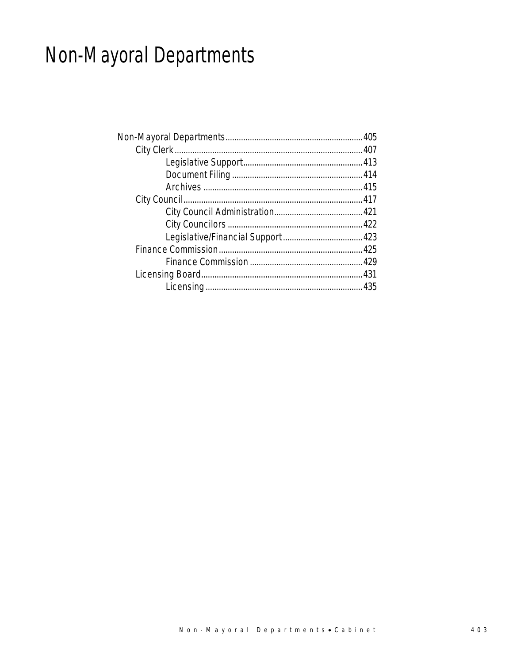# Non-Mayoral Departments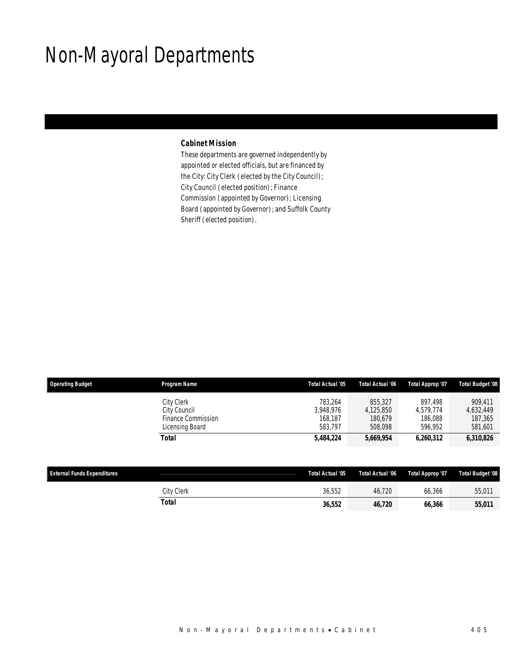## Non-Mayoral Departments

### *Cabinet Mission*

These departments are governed independently by appointed or elected officials, but are financed by the City: City Clerk (elected by the City Council); City Council (elected position); Finance Commission (appointed by Governor); Licensing Board (appointed by Governor); and Suffolk County Sheriff (elected position).

| <b>Operating Budget</b> | Program Name                                                        | Total Actual '05                           | Total Actual '06                           | Total Approp '07                           | <b>Total Budget '08</b>                    |
|-------------------------|---------------------------------------------------------------------|--------------------------------------------|--------------------------------------------|--------------------------------------------|--------------------------------------------|
|                         | City Clerk<br>City Council<br>Finance Commission<br>Licensing Board | 783.264<br>3.948.976<br>168.187<br>583.797 | 855,327<br>4.125.850<br>180.679<br>508.098 | 897.498<br>4.579.774<br>186,088<br>596.952 | 909.411<br>4,632,449<br>187,365<br>581,601 |
|                         | Total                                                               | 5,484,224                                  | 5,669,954                                  | 6.260.312                                  | 6,310,826                                  |

| <b>External Funds Expenditures</b> |                   | Total Actual '05 | Total Actual '06 | Total Approp '07 | <b>Total Budget '08</b> |
|------------------------------------|-------------------|------------------|------------------|------------------|-------------------------|
|                                    | <b>City Clerk</b> | 36.552           | 46.720           | 66.366           | 55,011                  |
|                                    | Total             | 36,552           | 46.720           | 66.366           | 55,011                  |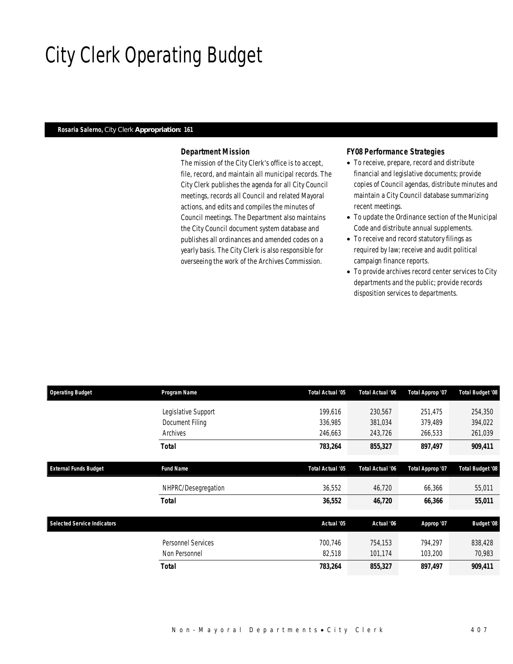# City Clerk Operating Budget

### *Rosaria Salerno, City Clerk Appropriation: 161*

### *Department Mission*

The mission of the City Clerk's office is to accept, file, record, and maintain all municipal records. The City Clerk publishes the agenda for all City Council meetings, records all Council and related Mayoral actions, and edits and compiles the minutes of Council meetings. The Department also maintains the City Council document system database and publishes all ordinances and amended codes on a yearly basis. The City Clerk is also responsible for overseeing the work of the Archives Commission.

#### *FY08 Performance Strategies*

- To receive, prepare, record and distribute financial and legislative documents; provide copies of Council agendas, distribute minutes and maintain a City Council database summarizing recent meetings.
- To update the Ordinance section of the Municipal Code and distribute annual supplements.
- To receive and record statutory filings as required by law; receive and audit political campaign finance reports.
- To provide archives record center services to City departments and the public; provide records disposition services to departments.

| <b>Operating Budget</b>            | Program Name        | Total Actual '05 | <b>Total Actual '06</b> | Total Approp '07 | Total Budget '08        |
|------------------------------------|---------------------|------------------|-------------------------|------------------|-------------------------|
|                                    | Legislative Support | 199,616          | 230,567                 | 251,475          | 254,350                 |
|                                    | Document Filing     | 336,985          | 381,034                 | 379,489          | 394,022                 |
|                                    | Archives            | 246,663          | 243,726                 | 266,533          | 261,039                 |
|                                    | Total               | 783,264          | 855,327                 | 897,497          | 909,411                 |
| <b>External Funds Budget</b>       | <b>Fund Name</b>    | Total Actual '05 | <b>Total Actual '06</b> | Total Approp '07 | <b>Total Budget '08</b> |
|                                    | NHPRC/Desegregation | 36,552           | 46,720                  | 66,366           | 55,011                  |
|                                    | <b>Total</b>        | 36,552           | 46,720                  | 66,366           | 55,011                  |
| <b>Selected Service Indicators</b> |                     | Actual '05       | Actual '06              | Approp '07       | <b>Budget '08</b>       |
|                                    | Personnel Services  | 700.746          | 754,153                 | 794,297          | 838,428                 |
|                                    | Non Personnel       | 82,518           | 101,174                 | 103,200          | 70,983                  |
|                                    | Total               | 783,264          | 855,327                 | 897,497          | 909,411                 |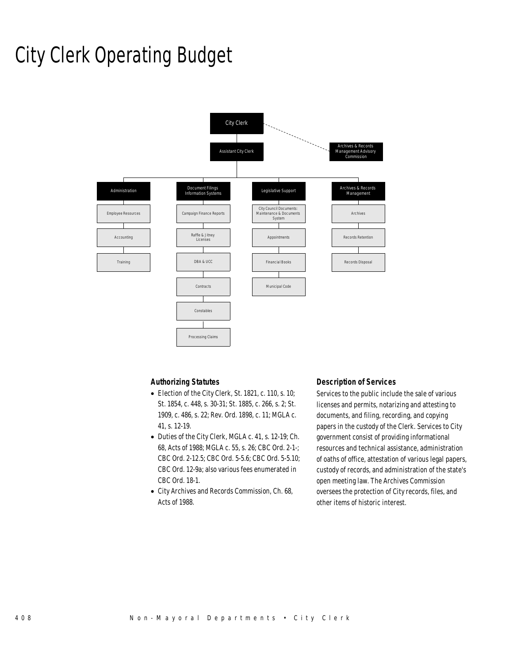## City Clerk Operating Budget



### *Authorizing Statutes*

- Election of the City Clerk, St. 1821, c. 110, s. 10; St. 1854, c. 448, s. 30-31; St. 1885, c. 266, s. 2; St. 1909, c. 486, s. 22; Rev. Ord. 1898, c. 11; MGLA c. 41, s. 12-19.
- Duties of the City Clerk, MGLA c. 41, s. 12-19; Ch. 68, Acts of 1988; MGLA c. 55, s. 26; CBC Ord. 2-1-; CBC Ord. 2-12.5; CBC Ord. 5-5.6; CBC Ord. 5-5.10; CBC Ord. 12-9a; also various fees enumerated in CBC Ord. 18-1.
- City Archives and Records Commission, Ch. 68, Acts of 1988.

#### *Description of Services*

Services to the public include the sale of various licenses and permits, notarizing and attesting to documents, and filing, recording, and copying papers in the custody of the Clerk. Services to City government consist of providing informational resources and technical assistance, administration of oaths of office, attestation of various legal papers, custody of records, and administration of the state's open meeting law. The Archives Commission oversees the protection of City records, files, and other items of historic interest.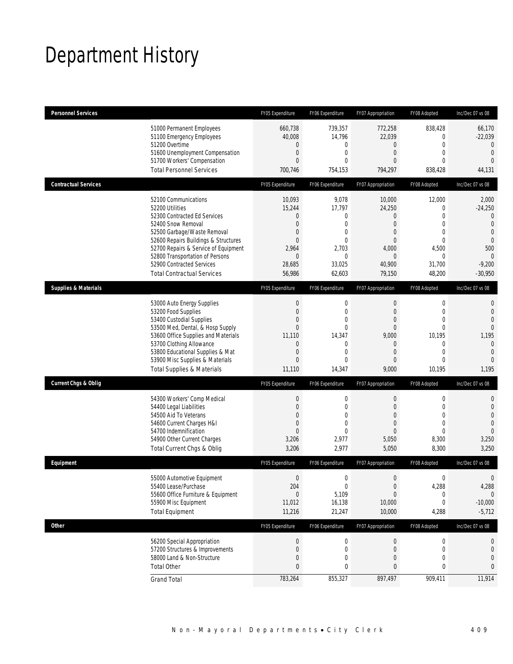## Department History

| <b>Personnel Services</b>       |                                                                                                                                                                                                                                                                                                                   | FY05 Expenditure                                                                                                                          | FY06 Expenditure                                                                                              | FY07 Appropriation                                                                                                              | FY08 Adopted                                                                                                                        | Inc/Dec 07 vs 08                                                                                                                         |
|---------------------------------|-------------------------------------------------------------------------------------------------------------------------------------------------------------------------------------------------------------------------------------------------------------------------------------------------------------------|-------------------------------------------------------------------------------------------------------------------------------------------|---------------------------------------------------------------------------------------------------------------|---------------------------------------------------------------------------------------------------------------------------------|-------------------------------------------------------------------------------------------------------------------------------------|------------------------------------------------------------------------------------------------------------------------------------------|
|                                 | 51000 Permanent Employees<br>51100 Emergency Employees<br>51200 Overtime<br>51600 Unemployment Compensation<br>51700 Workers' Compensation<br><b>Total Personnel Services</b>                                                                                                                                     | 660,738<br>40,008<br>0<br>$\mathbf{0}$<br>$\Omega$<br>700,746                                                                             | 739.357<br>14,796<br>0<br>$\mathbf{0}$<br>$\Omega$<br>754,153                                                 | 772,258<br>22,039<br>$\mathbf 0$<br>$\overline{0}$<br>$\Omega$<br>794,297                                                       | 838.428<br>$\mathbf 0$<br>$\overline{0}$<br>$\overline{0}$<br>$\Omega$<br>838,428                                                   | 66,170<br>$-22,039$<br>$\mathbf{0}$<br>$\mathbf{0}$<br>$\Omega$<br>44,131                                                                |
| <b>Contractual Services</b>     |                                                                                                                                                                                                                                                                                                                   | FY05 Expenditure                                                                                                                          | FY06 Expenditure                                                                                              | FY07 Appropriation                                                                                                              | FY08 Adopted                                                                                                                        | Inc/Dec 07 vs 08                                                                                                                         |
|                                 | 52100 Communications<br>52200 Utilities<br>52300 Contracted Ed Services<br>52400 Snow Removal<br>52500 Garbage/Waste Removal<br>52600 Repairs Buildings & Structures<br>52700 Repairs & Service of Equipment<br>52800 Transportation of Persons<br>52900 Contracted Services<br><b>Total Contractual Services</b> | 10,093<br>15,244<br>$\overline{0}$<br>$\overline{0}$<br>$\overline{0}$<br>$\overline{0}$<br>2,964<br>$\overline{0}$<br>28,685<br>56,986   | 9,078<br>17,797<br>0<br>$\overline{0}$<br>$\theta$<br>$\theta$<br>2,703<br>$\overline{0}$<br>33,025<br>62,603 | 10,000<br>24,250<br>$\mathbf 0$<br>$\overline{0}$<br>$\overline{0}$<br>$\overline{0}$<br>4,000<br>$\Omega$<br>40,900<br>79,150  | 12,000<br>$\mathbf 0$<br>$\overline{0}$<br>$\overline{0}$<br>$\mathbf 0$<br>$\overline{0}$<br>4,500<br>$\Omega$<br>31,700<br>48,200 | 2,000<br>$-24,250$<br>$\overline{0}$<br>$\overline{0}$<br>$\mathbf{0}$<br>$\overline{0}$<br>500<br>$\Omega$<br>$-9,200$<br>$-30,950$     |
| <b>Supplies &amp; Materials</b> |                                                                                                                                                                                                                                                                                                                   | FY05 Expenditure                                                                                                                          | FY06 Expenditure                                                                                              | FY07 Appropriation                                                                                                              | FY08 Adopted                                                                                                                        | Inc/Dec 07 vs 08                                                                                                                         |
|                                 | 53000 Auto Energy Supplies<br>53200 Food Supplies<br>53400 Custodial Supplies<br>53500 Med, Dental, & Hosp Supply<br>53600 Office Supplies and Materials<br>53700 Clothing Allowance<br>53800 Educational Supplies & Mat<br>53900 Misc Supplies & Materials<br><b>Total Supplies &amp; Materials</b>              | $\mathbf 0$<br>$\mathbf{0}$<br>$\overline{0}$<br>$\overline{0}$<br>11,110<br>$\overline{0}$<br>$\overline{0}$<br>$\overline{0}$<br>11,110 | 0<br>$\mathbf{0}$<br>$\overline{0}$<br>$\theta$<br>14,347<br>0<br>$\overline{0}$<br>$\overline{0}$<br>14,347  | 0<br>$\overline{0}$<br>$\overline{0}$<br>$\overline{0}$<br>9,000<br>$\overline{0}$<br>$\overline{0}$<br>$\overline{0}$<br>9,000 | 0<br>$\overline{0}$<br>$\overline{0}$<br>$\overline{0}$<br>10,195<br>$\mathbf 0$<br>$\overline{0}$<br>$\overline{0}$<br>10,195      | $\mathbf{0}$<br>$\overline{0}$<br>$\overline{0}$<br>$\overline{0}$<br>1,195<br>$\mathbf{0}$<br>$\overline{0}$<br>$\overline{0}$<br>1,195 |
| <b>Current Chgs &amp; Oblig</b> |                                                                                                                                                                                                                                                                                                                   | FY05 Expenditure                                                                                                                          | FY06 Expenditure                                                                                              | FY07 Appropriation                                                                                                              | FY08 Adopted                                                                                                                        | Inc/Dec 07 vs 08                                                                                                                         |
|                                 | 54300 Workers' Comp Medical<br>54400 Legal Liabilities<br>54500 Aid To Veterans<br>54600 Current Charges H&I<br>54700 Indemnification<br>54900 Other Current Charges<br>Total Current Chgs & Oblig                                                                                                                | $\mathbf{0}$<br>$\mathbf{0}$<br>$\mathbf{0}$<br>$\overline{0}$<br>$\overline{0}$<br>3,206<br>3,206                                        | $\mathbf 0$<br>$\mathbf{0}$<br>$\overline{0}$<br>0<br>$\theta$<br>2,977<br>2,977                              | $\mathbf 0$<br>$\mathbf{0}$<br>$\overline{0}$<br>$\overline{0}$<br>$\overline{0}$<br>5,050<br>5,050                             | $\mathbf 0$<br>$\overline{0}$<br>$\overline{0}$<br>$\mathbf 0$<br>$\overline{0}$<br>8,300<br>8,300                                  | $\mathbf 0$<br>$\overline{0}$<br>$\overline{0}$<br>$\overline{0}$<br>$\Omega$<br>3,250<br>3,250                                          |
| Equipment                       |                                                                                                                                                                                                                                                                                                                   | FY05 Expenditure                                                                                                                          | FY06 Expenditure                                                                                              | FY07 Appropriation                                                                                                              | FY08 Adopted                                                                                                                        | Inc/Dec 07 vs 08                                                                                                                         |
|                                 | 55000 Automotive Equipment<br>55400 Lease/Purchase<br>55600 Office Furniture & Equipment<br>55900 Misc Equipment<br><b>Total Equipment</b>                                                                                                                                                                        | $\Omega$<br>204<br>$\theta$<br>11,012<br>11,216                                                                                           | $\Omega$<br>$\mathbf 0$<br>5,109<br>16,138<br>21,247                                                          | $\Omega$<br>$\boldsymbol{0}$<br>$\overline{0}$<br>10,000<br>10,000                                                              | $\Omega$<br>4,288<br>0<br>0<br>4,288                                                                                                | $\theta$<br>4,288<br>$\theta$<br>$-10,000$<br>$-5,712$                                                                                   |
| <b>Other</b>                    |                                                                                                                                                                                                                                                                                                                   | FY05 Expenditure                                                                                                                          | FY06 Expenditure                                                                                              | FY07 Appropriation                                                                                                              | FY08 Adopted                                                                                                                        | Inc/Dec 07 vs 08                                                                                                                         |
|                                 | 56200 Special Appropriation<br>57200 Structures & Improvements<br>58000 Land & Non-Structure<br><b>Total Other</b>                                                                                                                                                                                                | $\mathbf 0$<br>$\mathbf 0$<br>$\mathbf{0}$<br>$\mathbf{0}$                                                                                | $\boldsymbol{0}$<br>$\mathbf 0$<br>0<br>0                                                                     | $\boldsymbol{0}$<br>0<br>0<br>0                                                                                                 | $\boldsymbol{0}$<br>0<br>0<br>0                                                                                                     | 0<br>0<br>0<br>$\mathbf{0}$                                                                                                              |
|                                 | <b>Grand Total</b>                                                                                                                                                                                                                                                                                                | 783,264                                                                                                                                   | 855,327                                                                                                       | 897,497                                                                                                                         | 909,411                                                                                                                             | 11,914                                                                                                                                   |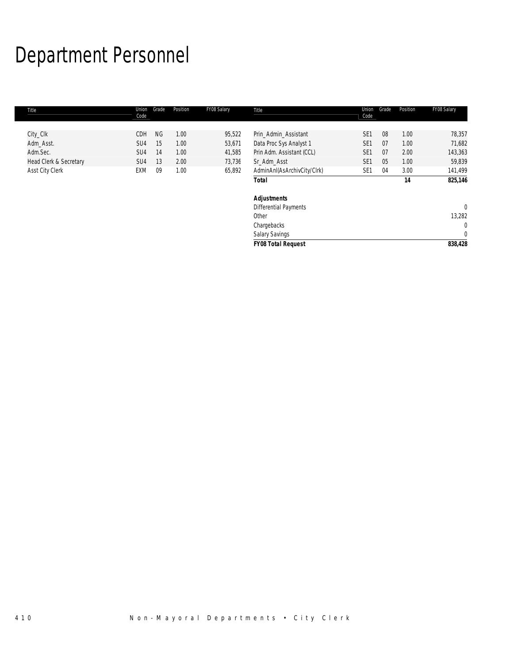# Department Personnel

| Title                  | Union<br>Code   | Grade     | Position | FY08 Salary | Title                        | Union<br>Code   | Grade | Position | FY08 Salary  |
|------------------------|-----------------|-----------|----------|-------------|------------------------------|-----------------|-------|----------|--------------|
| City_Clk               | CDH             | <b>NG</b> | 1.00     | 95,522      | Prin_Admin_Assistant         | SE <sub>1</sub> | 08    | 1.00     | 78,357       |
| Adm_Asst.              | SU4             | 15        | 1.00     | 53,671      | Data Proc Sys Analyst 1      | SE <sub>1</sub> | 07    | 1.00     | 71,682       |
| Adm.Sec.               | SU4             | 14        | 1.00     | 41,585      | Prin Adm. Assistant (CCL)    | SE <sub>1</sub> | 07    | 2.00     | 143,363      |
| Head Clerk & Secretary | SU <sub>4</sub> | 13        | 2.00     | 73,736      | Sr Adm Asst                  | SE <sub>1</sub> | 05    | 1.00     | 59,839       |
| Asst City Clerk        | EXM             | 09        | 1.00     | 65,892      | AdminAnI(AsArchivCity/Clrk)  | SE <sub>1</sub> | 04    | 3.00     | 141,499      |
|                        |                 |           |          |             | <b>Total</b>                 |                 |       | 14       | 825,146      |
|                        |                 |           |          |             | <b>Adjustments</b>           |                 |       |          |              |
|                        |                 |           |          |             | <b>Differential Payments</b> |                 |       |          | $\mathbf 0$  |
|                        |                 |           |          |             | Other                        |                 |       |          | 13,282       |
|                        |                 |           |          |             | Chargebacks                  |                 |       |          | 0            |
|                        |                 |           |          |             | <b>Salary Savings</b>        |                 |       |          | $\mathbf{0}$ |
|                        |                 |           |          |             | <b>FY08 Total Request</b>    |                 |       |          | 838,428      |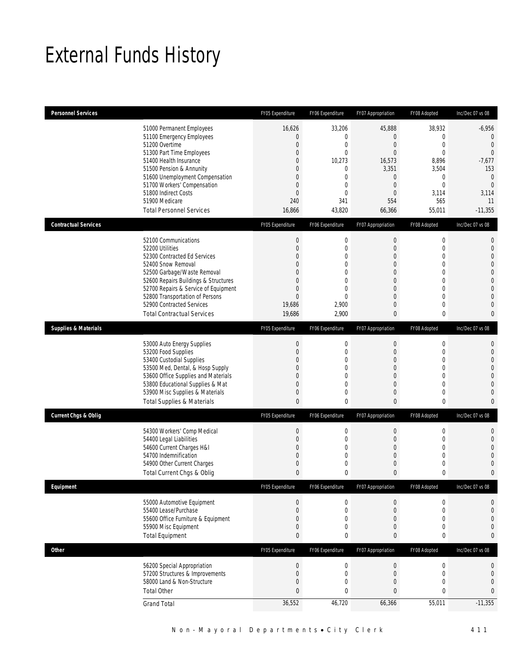## External Funds History

| <b>Personnel Services</b>       |                                       | FY05 Expenditure | FY06 Expenditure | FY07 Appropriation | FY08 Adopted     | Inc/Dec 07 vs 08 |
|---------------------------------|---------------------------------------|------------------|------------------|--------------------|------------------|------------------|
|                                 | 51000 Permanent Employees             | 16,626           | 33,206           | 45,888             | 38,932           | $-6,956$         |
|                                 | 51100 Emergency Employees             | $\mathbf{0}$     | 0                | $\overline{0}$     | 0                | $\theta$         |
|                                 | 51200 Overtime                        | $\mathbf{0}$     | $\mathbf{0}$     | $\mathbf{0}$       | $\mathbf 0$      | $\overline{0}$   |
|                                 | 51300 Part Time Employees             | $\mathbf{0}$     | $\mathbf 0$      | $\Omega$           | $\theta$         | $\overline{0}$   |
|                                 | 51400 Health Insurance                | $\mathbf{0}$     | 10,273           | 16,573             | 8,896            | $-7,677$         |
|                                 | 51500 Pension & Annunity              | $\mathbf 0$      | 0                | 3,351              | 3,504            | 153              |
|                                 | 51600 Unemployment Compensation       | $\mathbf{0}$     | $\mathbf{0}$     | $\boldsymbol{0}$   | $\boldsymbol{0}$ | $\mathbf{0}$     |
|                                 | 51700 Workers' Compensation           | $\mathbf{0}$     | $\mathbf{0}$     | $\mathbf{0}$       | $\mathbf 0$      | $\overline{0}$   |
|                                 | 51800 Indirect Costs                  | $\mathbf{0}$     | $\mathbf{0}$     | $\overline{0}$     | 3,114            | 3,114            |
|                                 | 51900 Medicare                        | 240              | 341              | 554                | 565              | 11               |
|                                 | <b>Total Personnel Services</b>       | 16,866           | 43,820           | 66,366             | 55,011           | $-11,355$        |
| <b>Contractual Services</b>     |                                       | FY05 Expenditure | FY06 Expenditure | FY07 Appropriation | FY08 Adopted     | Inc/Dec 07 vs 08 |
|                                 | 52100 Communications                  | $\boldsymbol{0}$ | $\mathbf 0$      | $\boldsymbol{0}$   | $\boldsymbol{0}$ | $\mathbf{0}$     |
|                                 | 52200 Utilities                       | $\mathbf 0$      | $\mathbf{0}$     | 0                  | 0                | $\mathbf{0}$     |
|                                 | 52300 Contracted Ed Services          | $\mathbf{0}$     | $\overline{0}$   | $\mathbf{0}$       | $\mathbf 0$      | $\overline{0}$   |
|                                 | 52400 Snow Removal                    | $\theta$         | 0                | $\overline{0}$     | 0                | $\overline{0}$   |
|                                 | 52500 Garbage/Waste Removal           | $\theta$         | $\Omega$         | 0                  | 0                | $\mathbf{0}$     |
|                                 | 52600 Repairs Buildings & Structures  | $\mathbf{0}$     | $\overline{0}$   | $\mathbf{0}$       | $\mathbf 0$      | $\overline{0}$   |
|                                 | 52700 Repairs & Service of Equipment  | $\mathbf{0}$     | $\Omega$         | $\overline{0}$     | 0                | $\overline{0}$   |
|                                 | 52800 Transportation of Persons       | $\theta$         | $\Omega$         | $\mathbf{0}$       | $\mathbf 0$      | $\overline{0}$   |
|                                 | 52900 Contracted Services             | 19,686           | 2,900            | 0                  | 0                | $\overline{0}$   |
|                                 | <b>Total Contractual Services</b>     | 19,686           | 2,900            | 0                  | 0                | $\mathbf{0}$     |
| <b>Supplies &amp; Materials</b> |                                       | FY05 Expenditure | FY06 Expenditure | FY07 Appropriation | FY08 Adopted     | Inc/Dec 07 vs 08 |
|                                 | 53000 Auto Energy Supplies            | $\boldsymbol{0}$ | $\mathbf 0$      | $\mathbf 0$        | 0                | $\mathbf{0}$     |
|                                 | 53200 Food Supplies                   | $\boldsymbol{0}$ | $\mathbf 0$      | $\boldsymbol{0}$   | $\boldsymbol{0}$ | $\mathbf{0}$     |
|                                 | 53400 Custodial Supplies              | $\mathbf 0$      | 0                | $\boldsymbol{0}$   | 0                | $\mathbf{0}$     |
|                                 | 53500 Med, Dental, & Hosp Supply      | $\theta$         | $\mathbf{0}$     | $\overline{0}$     | 0                | $\mathbf{0}$     |
|                                 | 53600 Office Supplies and Materials   | $\mathbf{0}$     | $\overline{0}$   | $\mathbf{0}$       | $\mathbf 0$      | $\overline{0}$   |
|                                 | 53800 Educational Supplies & Mat      | $\theta$         | 0                | $\overline{0}$     | 0                | $\overline{0}$   |
|                                 | 53900 Misc Supplies & Materials       | $\mathbf{0}$     | 0                | $\overline{0}$     | $\boldsymbol{0}$ | $\mathbf{0}$     |
|                                 | <b>Total Supplies &amp; Materials</b> | $\mathbf{0}$     | 0                | 0                  | 0                | $\mathbf{0}$     |
| <b>Current Chgs &amp; Oblig</b> |                                       | FY05 Expenditure | FY06 Expenditure | FY07 Appropriation | FY08 Adopted     | Inc/Dec 07 vs 08 |
|                                 | 54300 Workers' Comp Medical           | $\boldsymbol{0}$ | $\mathbf 0$      | $\boldsymbol{0}$   | $\boldsymbol{0}$ | $\mathbf{0}$     |
|                                 | 54400 Legal Liabilities               | $\mathbf{0}$     | $\mathbf{0}$     | 0                  | 0                | $\mathbf{0}$     |
|                                 | 54600 Current Charges H&I             | $\mathbf{0}$     | $\overline{0}$   | $\mathbf{0}$       | 0                | $\overline{0}$   |
|                                 | 54700 Indemnification                 | $\mathbf{0}$     | 0                | $\boldsymbol{0}$   | 0                | $\overline{0}$   |
|                                 | 54900 Other Current Charges           | $\mathbf 0$      | $\mathbf{0}$     | 0                  | 0                | $\mathbf 0$      |
|                                 | Total Current Chgs & Oblig            | $\mathbf{0}$     | $\mathbf 0$      | $\mathbf{0}$       | 0                | $\overline{0}$   |
| Equipment                       |                                       | FY05 Expenditure | FY06 Expenditure | FY07 Appropriation | FY08 Adopted     | Inc/Dec 07 vs 08 |
|                                 | 55000 Automotive Equipment            | $\boldsymbol{0}$ | $\boldsymbol{0}$ | $\boldsymbol{0}$   | $\boldsymbol{0}$ | $\mathbf 0$      |
|                                 | 55400 Lease/Purchase                  | $\boldsymbol{0}$ | $\boldsymbol{0}$ | $\boldsymbol{0}$   | $\boldsymbol{0}$ | $\mathbf 0$      |
|                                 | 55600 Office Furniture & Equipment    | $\mathbf 0$      | 0                | $\overline{0}$     | 0                | 0                |
|                                 | 55900 Misc Equipment                  | $\mathbf{0}$     | $\mathbf 0$      | $\boldsymbol{0}$   | $\boldsymbol{0}$ | $\mathbf{0}$     |
|                                 | <b>Total Equipment</b>                | $\mathbf{0}$     | $\mathbf 0$      | 0                  | 0                | $\bf{0}$         |
| <b>Other</b>                    |                                       | FY05 Expenditure | FY06 Expenditure | FY07 Appropriation | FY08 Adopted     | Inc/Dec 07 vs 08 |
|                                 | 56200 Special Appropriation           | $\boldsymbol{0}$ | $\boldsymbol{0}$ | $\boldsymbol{0}$   | $\boldsymbol{0}$ | 0                |
|                                 | 57200 Structures & Improvements       | $\mathbf{0}$     | $\boldsymbol{0}$ | $\boldsymbol{0}$   | $\boldsymbol{0}$ | 0                |
|                                 | 58000 Land & Non-Structure            | $\mathbf{0}$     | 0                | $\boldsymbol{0}$   | $\boldsymbol{0}$ | $\overline{0}$   |
|                                 | <b>Total Other</b>                    | $\mathbf 0$      | 0                | $\bf 0$            | 0                | $\mathbf{0}$     |
|                                 | <b>Grand Total</b>                    | 36,552           | 46,720           | 66,366             | 55,011           | $-11,355$        |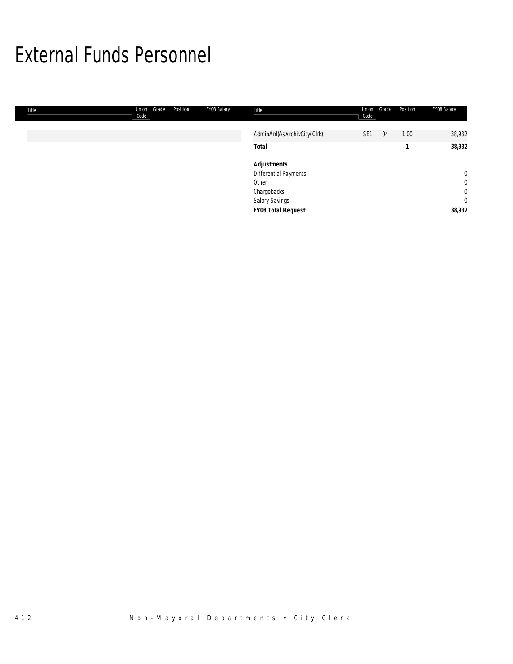## External Funds Personnel

| Title | Grade<br>Union<br>Code | Position | FY08 Salary | Title                       | Union<br>Code   | Grade | Position | FY08 Salary    |
|-------|------------------------|----------|-------------|-----------------------------|-----------------|-------|----------|----------------|
|       |                        |          |             | AdminAnI(AsArchivCity/Clrk) | SE <sub>1</sub> | 04    | 1.00     | 38,932         |
|       |                        |          |             | <b>Total</b>                |                 |       |          | 38,932         |
|       |                        |          |             | <b>Adjustments</b>          |                 |       |          |                |
|       |                        |          |             | Differential Payments       |                 |       |          | $\mathbf 0$    |
|       |                        |          |             | Other                       |                 |       |          | $\overline{0}$ |
|       |                        |          |             | Chargebacks                 |                 |       |          | $\overline{0}$ |
|       |                        |          |             | Salary Savings              |                 |       |          | $\overline{0}$ |
|       |                        |          |             | <b>FY08 Total Request</b>   |                 |       |          | 38,932         |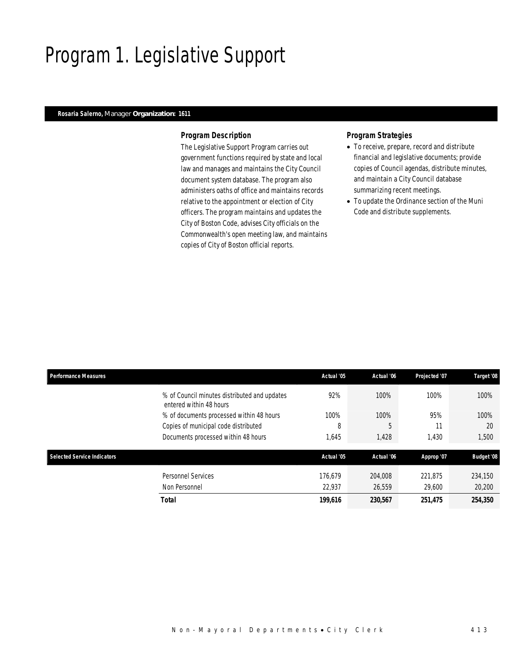## Program 1. Legislative Support

### *Rosaria Salerno, Manager Organization: 1611*

#### *Program Description*

The Legislative Support Program carries out government functions required by state and local law and manages and maintains the City Council document system database. The program also administers oaths of office and maintains records relative to the appointment or election of City officers. The program maintains and updates the City of Boston Code, advises City officials on the Commonwealth's open meeting law, and maintains copies of City of Boston official reports.

### *Program Strategies*

- To receive, prepare, record and distribute financial and legislative documents; provide copies of Council agendas, distribute minutes, and maintain a City Council database summarizing recent meetings.
- To update the Ordinance section of the Muni Code and distribute supplements.

|                   | Target '08                                                                                                       |
|-------------------|------------------------------------------------------------------------------------------------------------------|
| 100%              | 100%                                                                                                             |
| 95%               | 100%                                                                                                             |
| 5<br>11           | 20                                                                                                               |
| 1,430             | 1,500                                                                                                            |
|                   |                                                                                                                  |
|                   | <b>Budget '08</b>                                                                                                |
| 221.875<br>29,600 | 234,150<br>20,200                                                                                                |
| 251,475           | 254,350                                                                                                          |
|                   | Actual '06<br>Projected '07<br>100%<br>100%<br>1,428<br>Actual '06<br>Approp '07<br>204.008<br>26,559<br>230,567 |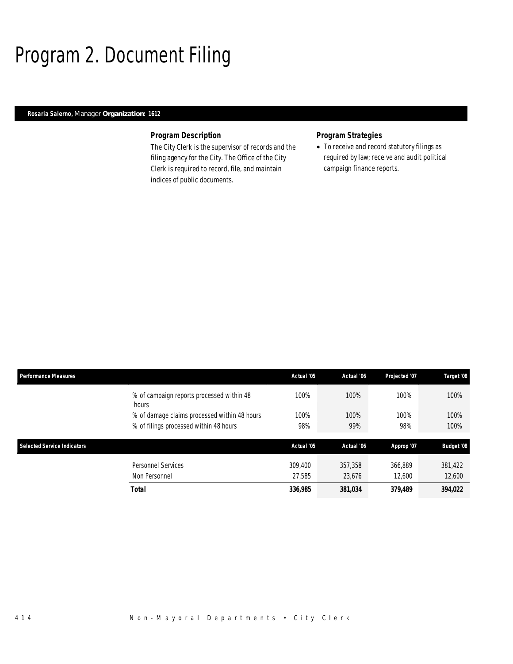# Program 2. Document Filing

### *Rosaria Salerno, Manager Organization: 1612*

#### *Program Description*

The City Clerk is the supervisor of records and the filing agency for the City. The Office of the City Clerk is required to record, file, and maintain indices of public documents.

### *Program Strategies*

• To receive and record statutory filings as required by law; receive and audit political campaign finance reports.

| <b>Performance Measures</b>        |                                                    | Actual '05 | Actual '06 | Projected '07 | Target '08        |
|------------------------------------|----------------------------------------------------|------------|------------|---------------|-------------------|
|                                    | % of campaign reports processed within 48<br>hours | 100%       | 100%       | 100%          | 100%              |
|                                    | % of damage claims processed within 48 hours       | 100%       | 100%       | 100%          | 100%              |
|                                    | % of filings processed within 48 hours             | 98%        | 99%        | 98%           | 100%              |
|                                    |                                                    |            |            |               |                   |
| <b>Selected Service Indicators</b> |                                                    | Actual '05 | Actual '06 | Approp '07    | <b>Budget '08</b> |
|                                    | Personnel Services                                 | 309,400    | 357,358    | 366.889       | 381,422           |
|                                    | Non Personnel                                      | 27.585     | 23.676     | 12.600        | 12,600            |
|                                    | <b>Total</b>                                       | 336,985    | 381,034    | 379.489       | 394,022           |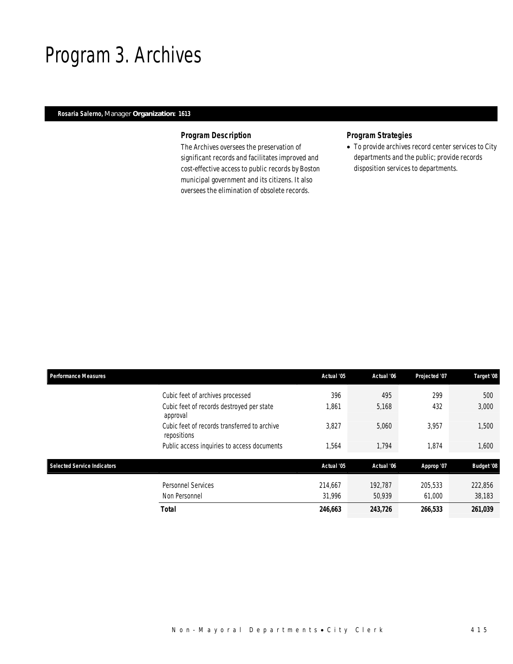### Program 3. Archives

### *Rosaria Salerno, Manager Organization: 1613*

### *Program Description*

The Archives oversees the preservation of significant records and facilitates improved and cost-effective access to public records by Boston municipal government and its citizens. It also oversees the elimination of obsolete records.

### *Program Strategies*

• To provide archives record center services to City departments and the public; provide records disposition services to departments.

| <b>Performance Measures</b>        |                                                             | Actual '05 | Actual '06 | Projected '07 | Target '08        |
|------------------------------------|-------------------------------------------------------------|------------|------------|---------------|-------------------|
|                                    | Cubic feet of archives processed                            | 396        | 495        | 299           | 500               |
|                                    | Cubic feet of records destroyed per state<br>approval       | 1,861      | 5,168      | 432           | 3,000             |
|                                    | Cubic feet of records transferred to archive<br>repositions | 3,827      | 5,060      | 3,957         | 1,500             |
|                                    | Public access inquiries to access documents                 | 1,564      | 1,794      | 1,874         | 1,600             |
| <b>Selected Service Indicators</b> |                                                             | Actual '05 | Actual '06 | Approp '07    | <b>Budget '08</b> |
|                                    | <b>Personnel Services</b>                                   | 214.667    | 192.787    | 205,533       | 222,856           |
|                                    | Non Personnel                                               | 31,996     | 50,939     | 61,000        | 38,183            |
|                                    | <b>Total</b>                                                | 246,663    | 243,726    | 266,533       | 261,039           |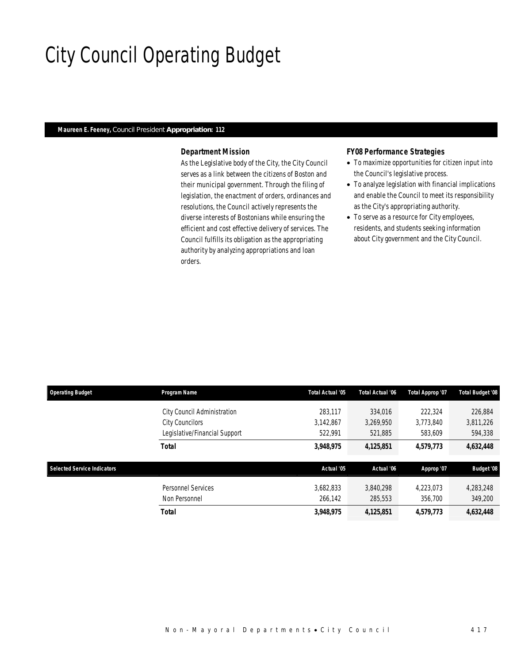# City Council Operating Budget

### *Maureen E. Feeney, Council President Appropriation: 112*

### *Department Mission*

As the Legislative body of the City, the City Council serves as a link between the citizens of Boston and their municipal government. Through the filing of legislation, the enactment of orders, ordinances and resolutions, the Council actively represents the diverse interests of Bostonians while ensuring the efficient and cost effective delivery of services. The Council fulfills its obligation as the appropriating authority by analyzing appropriations and loan orders.

### *FY08 Performance Strategies*

- To maximize opportunities for citizen input into the Council's legislative process.
- To analyze legislation with financial implications and enable the Council to meet its responsibility as the City's appropriating authority.
- To serve as a resource for City employees, residents, and students seeking information about City government and the City Council.

| <b>Operating Budget</b>            | Program Name                  | Total Actual '05 | Total Actual '06 | Total Approp '07 | <b>Total Budget '08</b> |
|------------------------------------|-------------------------------|------------------|------------------|------------------|-------------------------|
|                                    | City Council Administration   | 283.117          | 334,016          | 222,324          | 226.884                 |
|                                    | <b>City Councilors</b>        | 3.142.867        | 3,269,950        | 3,773,840        | 3,811,226               |
|                                    | Legislative/Financial Support | 522.991          | 521,885          | 583,609          | 594,338                 |
|                                    | <b>Total</b>                  | 3,948,975        | 4,125,851        | 4,579,773        | 4,632,448               |
| <b>Selected Service Indicators</b> |                               | Actual '05       | Actual '06       | Approp '07       | <b>Budget '08</b>       |
|                                    | <b>Personnel Services</b>     | 3,682,833        | 3.840.298        | 4.223.073        | 4,283,248               |
|                                    | Non Personnel                 | 266,142          | 285,553          | 356,700          | 349,200                 |
|                                    | <b>Total</b>                  | 3,948,975        | 4,125,851        | 4,579,773        | 4,632,448               |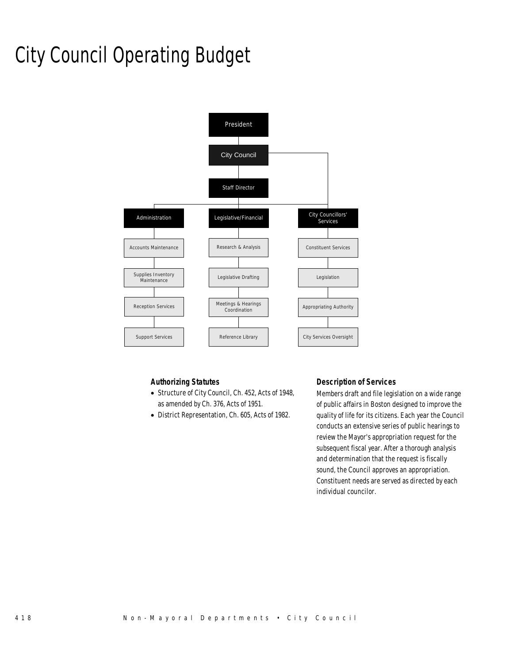# City Council Operating Budget



### *Authorizing Statutes*

- Structure of City Council, Ch. 452, Acts of 1948, as amended by Ch. 376, Acts of 1951.
- District Representation, Ch. 605, Acts of 1982.

### *Description of Services*

Members draft and file legislation on a wide range of public affairs in Boston designed to improve the quality of life for its citizens. Each year the Council conducts an extensive series of public hearings to review the Mayor's appropriation request for the subsequent fiscal year. After a thorough analysis and determination that the request is fiscally sound, the Council approves an appropriation. Constituent needs are served as directed by each individual councilor.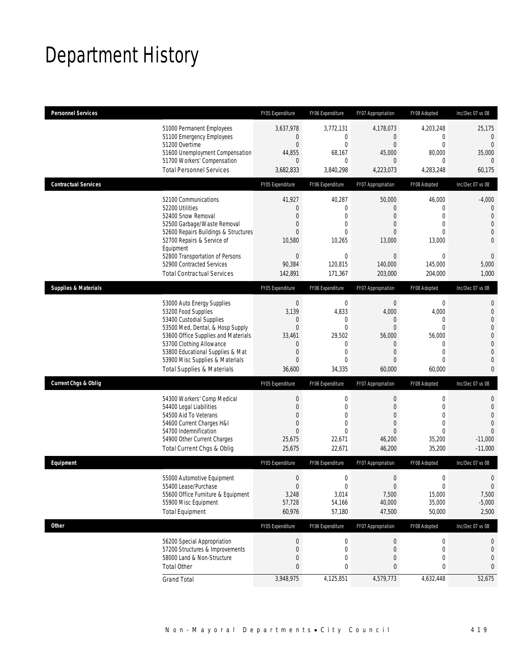# Department History

| <b>Personnel Services</b>       |                                                                                                                                                                                                                                                                                                      | FY05 Expenditure                                                                                                             | FY06 Expenditure                                                                                  | FY07 Appropriation                                                                                                        | FY08 Adopted                                                                                                       | Inc/Dec 07 vs 08                                                                                                                                  |
|---------------------------------|------------------------------------------------------------------------------------------------------------------------------------------------------------------------------------------------------------------------------------------------------------------------------------------------------|------------------------------------------------------------------------------------------------------------------------------|---------------------------------------------------------------------------------------------------|---------------------------------------------------------------------------------------------------------------------------|--------------------------------------------------------------------------------------------------------------------|---------------------------------------------------------------------------------------------------------------------------------------------------|
|                                 | 51000 Permanent Employees<br>51100 Emergency Employees<br>51200 Overtime<br>51600 Unemployment Compensation<br>51700 Workers' Compensation<br><b>Total Personnel Services</b>                                                                                                                        | 3,637,978<br>$\mathbf{0}$<br>$\overline{0}$<br>44,855<br>$\mathbf{0}$<br>3,682,833                                           | 3,772,131<br>0<br>$\overline{0}$<br>68,167<br>0<br>3,840,298                                      | 4,178,073<br>$\overline{0}$<br>$\overline{0}$<br>45,000<br>$\Omega$<br>4,223,073                                          | 4,203,248<br>$\mathbf 0$<br>$\mathbf{0}$<br>80,000<br>0<br>4,283,248                                               | 25,175<br>$\mathbf{0}$<br>$\overline{0}$<br>35,000<br>$\Omega$<br>60,175                                                                          |
| <b>Contractual Services</b>     |                                                                                                                                                                                                                                                                                                      | FY05 Expenditure                                                                                                             | FY06 Expenditure                                                                                  | FY07 Appropriation                                                                                                        | FY08 Adopted                                                                                                       | Inc/Dec 07 vs 08                                                                                                                                  |
|                                 | 52100 Communications<br>52200 Utilities<br>52400 Snow Removal<br>52500 Garbage/Waste Removal<br>52600 Repairs Buildings & Structures<br>52700 Repairs & Service of<br>Equipment                                                                                                                      | 41,927<br>$\mathbf{0}$<br>$\Omega$<br>$\overline{0}$<br>$\Omega$<br>10,580                                                   | 40,287<br>0<br>$\mathbf{0}$<br>$\overline{0}$<br>$\Omega$<br>10,265                               | 50,000<br>$\overline{0}$<br>$\overline{0}$<br>$\overline{0}$<br>$\Omega$<br>13,000                                        | 46,000<br>$\mathbf 0$<br>$\overline{0}$<br>$\overline{0}$<br>0<br>13,000                                           | $-4,000$<br>$\mathbf 0$<br>$\theta$<br>$\overline{0}$<br>$\mathbf 0$<br>$\overline{0}$                                                            |
|                                 | 52800 Transportation of Persons<br>52900 Contracted Services<br><b>Total Contractual Services</b>                                                                                                                                                                                                    | $\mathbf 0$<br>90,384<br>142,891                                                                                             | $\mathbf{0}$<br>120,815<br>171,367                                                                | $\Omega$<br>140,000<br>203,000                                                                                            | 0<br>145,000<br>204.000                                                                                            | $\mathbf 0$<br>5,000<br>1,000                                                                                                                     |
| <b>Supplies &amp; Materials</b> |                                                                                                                                                                                                                                                                                                      | FY05 Expenditure                                                                                                             | FY06 Expenditure                                                                                  | FY07 Appropriation                                                                                                        | FY08 Adopted                                                                                                       | Inc/Dec 07 vs 08                                                                                                                                  |
|                                 | 53000 Auto Energy Supplies<br>53200 Food Supplies<br>53400 Custodial Supplies<br>53500 Med, Dental, & Hosp Supply<br>53600 Office Supplies and Materials<br>53700 Clothing Allowance<br>53800 Educational Supplies & Mat<br>53900 Misc Supplies & Materials<br><b>Total Supplies &amp; Materials</b> | $\mathbf{0}$<br>3,139<br>$\mathbf 0$<br>$\overline{0}$<br>33,461<br>$\mathbf{0}$<br>$\mathbf{0}$<br>$\overline{0}$<br>36,600 | $\mathbf 0$<br>4,833<br>0<br>$\overline{0}$<br>29,502<br>0<br>$\mathbf{0}$<br>$\Omega$<br>34,335  | $\mathbf 0$<br>4,000<br>$\mathbf 0$<br>$\Omega$<br>56,000<br>$\overline{0}$<br>$\overline{0}$<br>$\overline{0}$<br>60,000 | $\mathbf 0$<br>4,000<br>0<br>$\overline{0}$<br>56,000<br>$\mathbf 0$<br>$\overline{0}$<br>$\overline{0}$<br>60,000 | $\mathbf{0}$<br>$\mathbf{0}$<br>$\mathbf{0}$<br>$\mathbf 0$<br>$\overline{0}$<br>$\mathbf{0}$<br>$\overline{0}$<br>$\overline{0}$<br>$\mathbf{0}$ |
| <b>Current Chgs &amp; Oblig</b> |                                                                                                                                                                                                                                                                                                      | FY05 Expenditure                                                                                                             | FY06 Expenditure                                                                                  | FY07 Appropriation                                                                                                        | FY08 Adopted                                                                                                       | Inc/Dec 07 vs 08                                                                                                                                  |
|                                 | 54300 Workers' Comp Medical<br>54400 Legal Liabilities<br>54500 Aid To Veterans<br>54600 Current Charges H&I<br>54700 Indemnification<br>54900 Other Current Charges<br>Total Current Chgs & Oblig                                                                                                   | $\mathbf{0}$<br>$\overline{0}$<br>$\overline{0}$<br>$\mathbf{0}$<br>$\overline{0}$<br>25,675<br>25,675                       | $\mathbf 0$<br>$\overline{0}$<br>$\overline{0}$<br>$\overline{0}$<br>$\theta$<br>22,671<br>22,671 | $\mathbf 0$<br>$\overline{0}$<br>$\boldsymbol{0}$<br>$\overline{0}$<br>$\overline{0}$<br>46,200<br>46,200                 | $\mathbf 0$<br>$\overline{0}$<br>$\mathbf 0$<br>$\overline{0}$<br>$\overline{0}$<br>35,200<br>35,200               | $\mathbf 0$<br>$\overline{0}$<br>$\Omega$<br>$\overline{0}$<br>$\Omega$<br>$-11,000$<br>$-11.000$                                                 |
| Equipment                       |                                                                                                                                                                                                                                                                                                      | FY05 Expenditure                                                                                                             | FY06 Expenditure                                                                                  | FY07 Appropriation                                                                                                        | FY08 Adopted                                                                                                       | Inc/Dec 07 vs 08                                                                                                                                  |
|                                 | 55000 Automotive Equipment<br>55400 Lease/Purchase<br>55600 Office Furniture & Equipment<br>55900 Misc Equipment<br><b>Total Equipment</b>                                                                                                                                                           | $\mathbf{0}$<br>$\boldsymbol{0}$<br>3,248<br>57,728<br>60,976                                                                | $\mathbf 0$<br>$\mathbf 0$<br>3,014<br>54,166<br>57,180                                           | $\mathbf{0}$<br>$\boldsymbol{0}$<br>7,500<br>40,000<br>47,500                                                             | 0<br>$\mathbf 0$<br>15,000<br>35,000<br>50,000                                                                     | 0<br>$\theta$<br>7,500<br>$-5,000$<br>2,500                                                                                                       |
| Other                           |                                                                                                                                                                                                                                                                                                      | FY05 Expenditure                                                                                                             | FY06 Expenditure                                                                                  | FY07 Appropriation                                                                                                        | FY08 Adopted                                                                                                       | Inc/Dec 07 vs 08                                                                                                                                  |
|                                 | 56200 Special Appropriation<br>57200 Structures & Improvements<br>58000 Land & Non-Structure<br><b>Total Other</b>                                                                                                                                                                                   | $\boldsymbol{0}$<br>$\mathbf{0}$<br>$\mathbf{0}$<br>$\mathbf{0}$                                                             | $\boldsymbol{0}$<br>$\mathbf 0$<br>0<br>0                                                         | 0<br>0<br>0<br>0                                                                                                          | $\boldsymbol{0}$<br>$\mathbf 0$<br>0<br>0                                                                          | 0<br>0<br>0<br>0                                                                                                                                  |
|                                 | <b>Grand Total</b>                                                                                                                                                                                                                                                                                   | 3,948,975                                                                                                                    | 4,125,851                                                                                         | 4,579,773                                                                                                                 | 4,632,448                                                                                                          | 52,675                                                                                                                                            |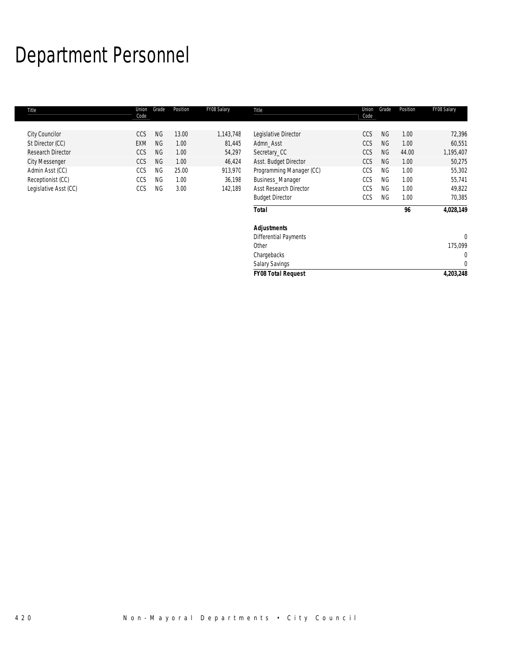# Department Personnel

| Title                 | Union<br>Code | Grade     | Position | FY08 Salary | Title                         | Union<br>Code | Grade     | Position | FY08 Salary  |
|-----------------------|---------------|-----------|----------|-------------|-------------------------------|---------------|-----------|----------|--------------|
|                       |               |           |          |             |                               |               |           |          |              |
| City Councilor        | <b>CCS</b>    | <b>NG</b> | 13.00    | 1,143,748   | Legislative Director          | CCS           | <b>NG</b> | 1.00     | 72,396       |
| St Director (CC)      | <b>EXM</b>    | <b>NG</b> | 1.00     | 81,445      | Admn_Asst                     | CCS           | NG.       | 1.00     | 60,551       |
| Research Director     | CCS           | <b>NG</b> | 1.00     | 54,297      | Secretary_CC                  | CCS           | <b>NG</b> | 44.00    | 1,195,407    |
| <b>City Messenger</b> | CCS           | <b>NG</b> | 1.00     | 46,424      | Asst. Budget Director         | CCS           | <b>NG</b> | 1.00     | 50,275       |
| Admin Asst (CC)       | CCS           | <b>NG</b> | 25.00    | 913,970     | Programming Manager (CC)      | CCS           | <b>NG</b> | 1.00     | 55,302       |
| Receptionist (CC)     | CCS           | <b>NG</b> | 1.00     | 36,198      | Business_Manager              | CCS           | <b>NG</b> | 1.00     | 55,741       |
| Legislative Asst (CC) | CCS           | <b>NG</b> | 3.00     | 142,189     | <b>Asst Research Director</b> | CCS           | <b>NG</b> | 1.00     | 49,822       |
|                       |               |           |          |             | <b>Budget Director</b>        | CCS           | <b>NG</b> | 1.00     | 70,385       |
|                       |               |           |          |             | <b>Total</b>                  |               |           | 96       | 4,028,149    |
|                       |               |           |          |             | <b>Adjustments</b>            |               |           |          |              |
|                       |               |           |          |             | <b>Differential Payments</b>  |               |           |          | $\mathbf{0}$ |
|                       |               |           |          |             | Other                         |               |           |          | 175,099      |
|                       |               |           |          |             | Chargebacks                   |               |           |          | 0            |
|                       |               |           |          |             | <b>Salary Savings</b>         |               |           |          | 0            |
|                       |               |           |          |             | <b>FY08 Total Request</b>     |               |           |          | 4,203,248    |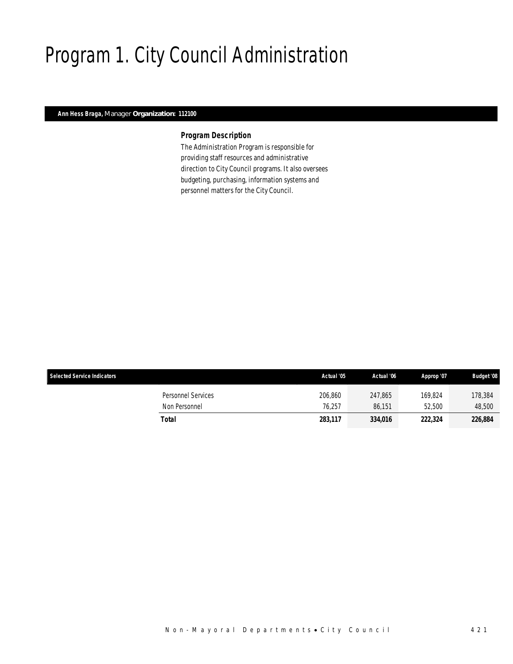# Program 1. City Council Administration

### *Ann Hess Braga, Manager Organization: 112100*

#### *Program Description*

The Administration Program is responsible for providing staff resources and administrative direction to City Council programs. It also oversees budgeting, purchasing, information systems and personnel matters for the City Council.

| <b>Selected Service Indicators</b>  | Actual '05        | Actual '06        | Approp '07        | <b>Budget '08</b> |
|-------------------------------------|-------------------|-------------------|-------------------|-------------------|
| Personnel Services<br>Non Personnel | 206,860<br>76.257 | 247.865<br>86.151 | 169.824<br>52,500 | 178,384<br>48,500 |
| Total                               | 283,117           | 334,016           | 222,324           | 226,884           |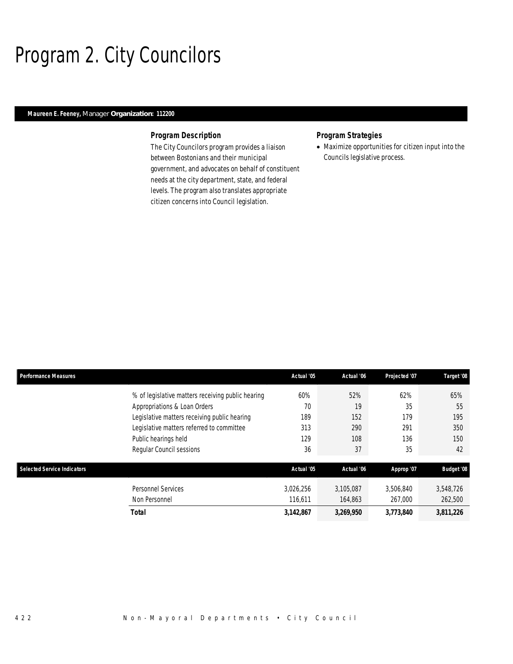## Program 2. City Councilors

### *Maureen E. Feeney, Manager Organization: 112200*

#### *Program Description*

The City Councilors program provides a liaison between Bostonians and their municipal government, and advocates on behalf of constituent needs at the city department, state, and federal levels. The program also translates appropriate citizen concerns into Council legislation.

### *Program Strategies*

• Maximize opportunities for citizen input into the Councils legislative process.

| <b>Performance Measures</b>        |                                                   | Actual '05 | Actual '06 | Projected '07 | Target '08        |
|------------------------------------|---------------------------------------------------|------------|------------|---------------|-------------------|
|                                    | % of legislative matters receiving public hearing | 60%        | 52%        | 62%           | 65%               |
|                                    | Appropriations & Loan Orders                      | 70         | 19         | 35            | 55                |
|                                    | Legislative matters receiving public hearing      | 189        | 152        | 179           | 195               |
|                                    | Legislative matters referred to committee         | 313        | 290        | 291           | 350               |
|                                    | Public hearings held                              | 129        | 108        | 136           | 150               |
|                                    | Regular Council sessions                          | 36         | 37         | 35            | 42                |
| <b>Selected Service Indicators</b> |                                                   | Actual '05 | Actual '06 | Approp '07    | <b>Budget '08</b> |
|                                    | <b>Personnel Services</b>                         | 3,026,256  | 3,105,087  | 3,506,840     | 3,548,726         |
|                                    | Non Personnel                                     | 116,611    | 164,863    | 267,000       | 262,500           |
|                                    | Total                                             | 3,142,867  | 3,269,950  | 3,773,840     | 3,811,226         |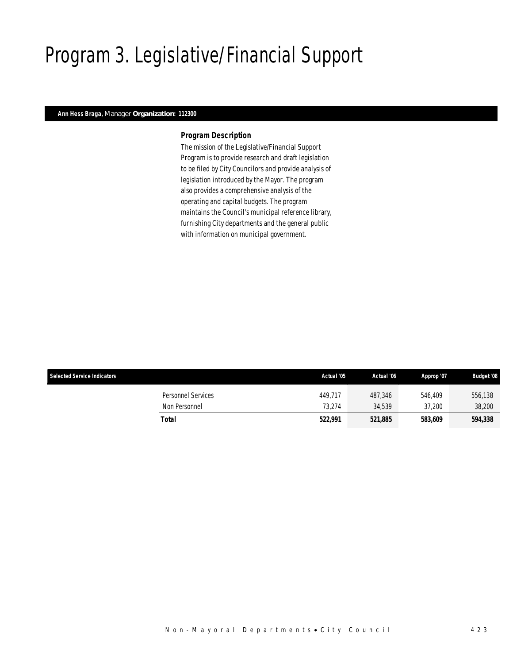# Program 3. Legislative/Financial Support

### *Ann Hess Braga, Manager Organization: 112300*

#### *Program Description*

The mission of the Legislative/Financial Support Program is to provide research and draft legislation to be filed by City Councilors and provide analysis of legislation introduced by the Mayor. The program also provides a comprehensive analysis of the operating and capital budgets. The program maintains the Council's municipal reference library, furnishing City departments and the general public with information on municipal government.

| <b>Selected Service Indicators</b>  | Actual '05        | Actual '06        | Approp '07        | <b>Budget '08</b> |
|-------------------------------------|-------------------|-------------------|-------------------|-------------------|
| Personnel Services<br>Non Personnel | 449.717<br>73.274 | 487.346<br>34.539 | 546,409<br>37,200 | 556,138<br>38,200 |
| Total                               | 522,991           | 521,885           | 583.609           | 594,338           |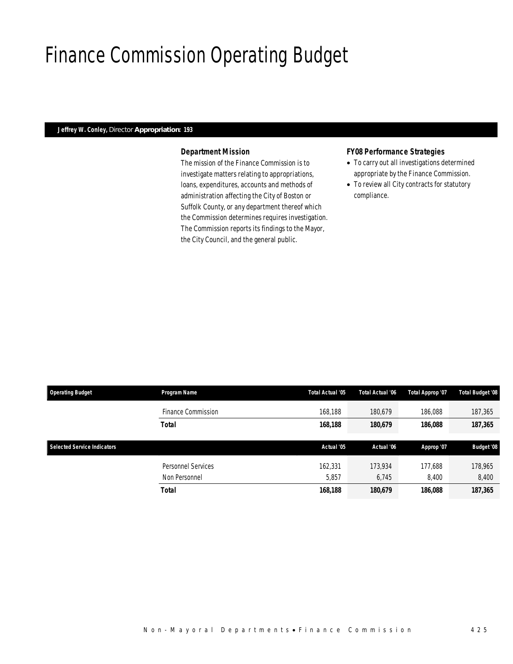## Finance Commission Operating Budget

### *Jeffrey W. Conley, Director Appropriation: 193*

### *Department Mission*

The mission of the Finance Commission is to investigate matters relating to appropriations, loans, expenditures, accounts and methods of administration affecting the City of Boston or Suffolk County, or any department thereof which the Commission determines requires investigation. The Commission reports its findings to the Mayor, the City Council, and the general public.

### *FY08 Performance Strategies*

- To carry out all investigations determined appropriate by the Finance Commission.
- To review all City contracts for statutory compliance.

| <b>Operating Budget</b>            | Program Name       | Total Actual '05 | Total Actual '06 | Total Approp '07 | <b>Total Budget '08</b> |  |
|------------------------------------|--------------------|------------------|------------------|------------------|-------------------------|--|
|                                    | Finance Commission | 168,188          | 180.679          | 186.088          | 187,365                 |  |
|                                    | <b>Total</b>       | 168,188          | 180,679          | 186,088          | 187,365                 |  |
|                                    |                    |                  |                  |                  |                         |  |
| <b>Selected Service Indicators</b> |                    | Actual '05       | Actual '06       | Approp '07       | <b>Budget '08</b>       |  |
|                                    | Personnel Services | 162,331          | 173.934          | 177.688          | 178,965                 |  |
|                                    | Non Personnel      | 5,857            | 6.745            | 8,400            | 8,400                   |  |
|                                    |                    |                  |                  |                  |                         |  |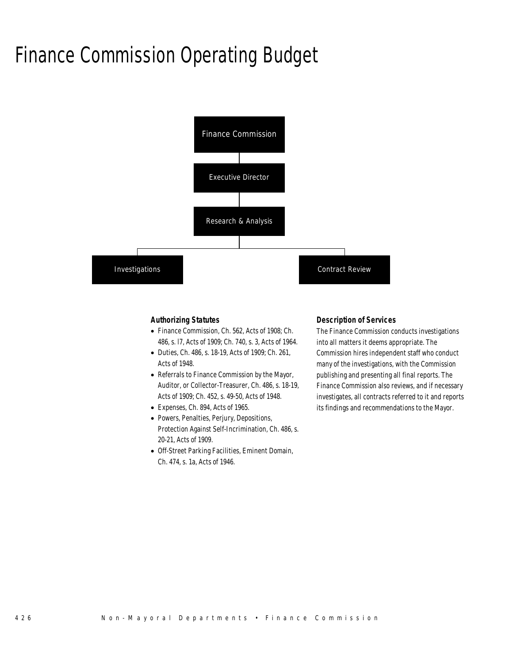## Finance Commission Operating Budget



### *Authorizing Statutes*

- Finance Commission, Ch. 562, Acts of 1908; Ch. 486, s. l7, Acts of 1909; Ch. 740, s. 3, Acts of 1964.
- Duties, Ch. 486, s. 18-19, Acts of 1909; Ch. 261, Acts of 1948.
- Referrals to Finance Commission by the Mayor, Auditor, or Collector-Treasurer, Ch. 486, s. 18-19, Acts of 1909; Ch. 452, s. 49-50, Acts of 1948.
- Expenses, Ch. 894, Acts of 1965.
- Powers, Penalties, Perjury, Depositions, Protection Against Self-Incrimination, Ch. 486, s. 20-21, Acts of 1909.
- Off-Street Parking Facilities, Eminent Domain, Ch. 474, s. 1a, Acts of 1946.

#### *Description of Services*

The Finance Commission conducts investigations into all matters it deems appropriate. The Commission hires independent staff who conduct many of the investigations, with the Commission publishing and presenting all final reports. The Finance Commission also reviews, and if necessary investigates, all contracts referred to it and reports its findings and recommendations to the Mayor.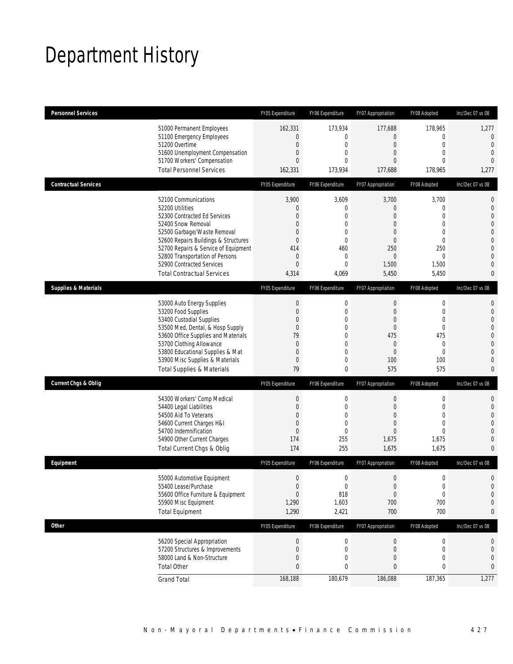# Department History

| <b>Personnel Services</b>       |                                                                                                                                                                                                                                                                                                      | FY05 Expenditure                                                                                 | FY06 Expenditure                                                                                                      | FY07 Appropriation                                                                                                           | FY08 Adopted                                                                               | Inc/Dec 07 vs 08                                                                                                                               |
|---------------------------------|------------------------------------------------------------------------------------------------------------------------------------------------------------------------------------------------------------------------------------------------------------------------------------------------------|--------------------------------------------------------------------------------------------------|-----------------------------------------------------------------------------------------------------------------------|------------------------------------------------------------------------------------------------------------------------------|--------------------------------------------------------------------------------------------|------------------------------------------------------------------------------------------------------------------------------------------------|
|                                 | 51000 Permanent Employees<br>51100 Emergency Employees<br>51200 Overtime<br>51600 Unemployment Compensation<br>51700 Workers' Compensation<br><b>Total Personnel Services</b>                                                                                                                        | 162,331<br>$\Omega$<br>$\theta$<br>$\theta$<br>$\Omega$<br>162,331                               | 173,934<br>0<br>$\mathbf{0}$<br>0<br>$\Omega$<br>173,934                                                              | 177,688<br>$\overline{0}$<br>$\mathbf 0$<br>$\overline{0}$<br>$\Omega$<br>177,688                                            | 178,965<br>0<br>$\overline{0}$<br>$\overline{0}$<br>$\Omega$<br>178,965                    | 1,277<br>$\mathbf 0$<br>$\overline{0}$<br>$\overline{0}$<br>$\overline{0}$<br>1,277                                                            |
| <b>Contractual Services</b>     |                                                                                                                                                                                                                                                                                                      | FY05 Expenditure                                                                                 | FY06 Expenditure                                                                                                      | FY07 Appropriation                                                                                                           | FY08 Adopted                                                                               | Inc/Dec 07 vs 08                                                                                                                               |
|                                 | 52100 Communications<br>52200 Utilities<br>52300 Contracted Ed Services<br>52400 Snow Removal<br>52500 Garbage/Waste Removal<br>52600 Repairs Buildings & Structures<br>52700 Repairs & Service of Equipment<br>52800 Transportation of Persons<br>52900 Contracted Services                         | 3,900<br>$\theta$<br>$\Omega$<br>$\theta$<br>$\theta$<br>$\theta$<br>414<br>$\theta$<br>$\theta$ | 3,609<br>$\mathbf{0}$<br>$\overline{0}$<br>0<br>$\mathbf{0}$<br>$\mathbf{0}$<br>460<br>$\overline{0}$<br>$\mathbf{0}$ | 3,700<br>$\mathbf 0$<br>$\overline{0}$<br>$\overline{0}$<br>$\mathbf{0}$<br>$\overline{0}$<br>250<br>$\overline{0}$<br>1,500 | 3,700<br>0<br>$\overline{0}$<br>$\overline{0}$<br>0<br>$\overline{0}$<br>250<br>0<br>1,500 | $\mathbf 0$<br>$\mathbf{0}$<br>$\mathbf{0}$<br>$\mathbf{0}$<br>$\mathbf 0$<br>$\mathbf{0}$<br>$\mathbf{0}$<br>$\overline{0}$<br>$\overline{0}$ |
|                                 | <b>Total Contractual Services</b>                                                                                                                                                                                                                                                                    | 4,314                                                                                            | 4,069                                                                                                                 | 5,450                                                                                                                        | 5,450                                                                                      | 0                                                                                                                                              |
| <b>Supplies &amp; Materials</b> |                                                                                                                                                                                                                                                                                                      | FY05 Expenditure                                                                                 | FY06 Expenditure                                                                                                      | FY07 Appropriation                                                                                                           | FY08 Adopted                                                                               | Inc/Dec 07 vs 08                                                                                                                               |
|                                 | 53000 Auto Energy Supplies<br>53200 Food Supplies<br>53400 Custodial Supplies<br>53500 Med, Dental, & Hosp Supply<br>53600 Office Supplies and Materials<br>53700 Clothing Allowance<br>53800 Educational Supplies & Mat<br>53900 Misc Supplies & Materials<br><b>Total Supplies &amp; Materials</b> | $\mathbf 0$<br>$\theta$<br>$\theta$<br>$\theta$<br>79<br>$\theta$<br>$\theta$<br>$\theta$<br>79  | $\mathbf 0$<br>$\mathbf{0}$<br>$\mathbf{0}$<br>$\mathbf{0}$<br>$\overline{0}$<br>0<br>$\overline{0}$<br>0<br>0        | $\mathbf 0$<br>$\mathbf 0$<br>$\overline{0}$<br>$\mathbf{0}$<br>475<br>$\overline{0}$<br>$\overline{0}$<br>100<br>575        | 0<br>0<br>$\overline{0}$<br>0<br>475<br>$\mathbf 0$<br>$\Omega$<br>100<br>575              | 0<br>$\mathbf{0}$<br>$\mathbf{0}$<br>$\mathbf 0$<br>$\mathbf{0}$<br>$\overline{0}$<br>$\overline{0}$<br>$\mathbf{0}$<br>$\mathbf{0}$           |
| <b>Current Chgs &amp; Oblig</b> |                                                                                                                                                                                                                                                                                                      | FY05 Expenditure                                                                                 | FY06 Expenditure                                                                                                      | FY07 Appropriation                                                                                                           | FY08 Adopted                                                                               | Inc/Dec 07 vs 08                                                                                                                               |
|                                 | 54300 Workers' Comp Medical<br>54400 Legal Liabilities<br>54500 Aid To Veterans<br>54600 Current Charges H&I<br>54700 Indemnification<br>54900 Other Current Charges<br>Total Current Chgs & Oblig                                                                                                   | $\mathbf{0}$<br>$\theta$<br>0<br>$\theta$<br>$\mathbf{0}$<br>174<br>174                          | $\mathbf 0$<br>$\mathbf{0}$<br>0<br>$\mathbf{0}$<br>$\mathbf 0$<br>255<br>255                                         | $\boldsymbol{0}$<br>$\mathbf{0}$<br>$\overline{0}$<br>$\overline{0}$<br>$\overline{0}$<br>1,675<br>1,675                     | $\mathbf 0$<br>0<br>$\overline{0}$<br>0<br>$\overline{0}$<br>1,675<br>1,675                | $\mathbf 0$<br>$\mathbf{0}$<br>$\mathbf{0}$<br>$\mathbf 0$<br>$\overline{0}$<br>$\mathbf{0}$<br>0                                              |
| Equipment                       |                                                                                                                                                                                                                                                                                                      | FY05 Expenditure                                                                                 | FY06 Expenditure                                                                                                      | FY07 Appropriation                                                                                                           | FY08 Adopted                                                                               | Inc/Dec 07 vs 08                                                                                                                               |
|                                 | 55000 Automotive Equipment<br>55400 Lease/Purchase<br>55600 Office Furniture & Equipment<br>55900 Misc Equipment<br><b>Total Equipment</b>                                                                                                                                                           | $\Omega$<br>$\boldsymbol{0}$<br>$\mathbf{0}$<br>1,290<br>1,290                                   | $\Omega$<br>$\mathbf 0$<br>818<br>1,603<br>2,421                                                                      | $\overline{0}$<br>$\boldsymbol{0}$<br>$\boldsymbol{0}$<br>700<br>700                                                         | $\Omega$<br>$\boldsymbol{0}$<br>0<br>700<br>700                                            | 0<br>$\mathbf 0$<br>$\mathbf 0$<br>$\mathbf{0}$<br>0                                                                                           |
| <b>Other</b>                    |                                                                                                                                                                                                                                                                                                      | FY05 Expenditure                                                                                 | FY06 Expenditure                                                                                                      | FY07 Appropriation                                                                                                           | FY08 Adopted                                                                               | Inc/Dec 07 vs 08                                                                                                                               |
|                                 | 56200 Special Appropriation<br>57200 Structures & Improvements<br>58000 Land & Non-Structure<br><b>Total Other</b>                                                                                                                                                                                   | $\theta$<br>$\theta$<br>$\mathbf{0}$<br>$\mathbf{0}$                                             | $\boldsymbol{0}$<br>$\mathbf 0$<br>0<br>0                                                                             | 0<br>0<br>0<br>0                                                                                                             | $\boldsymbol{0}$<br>0<br>0<br>0                                                            | 0<br>0<br>0<br>0                                                                                                                               |
|                                 | <b>Grand Total</b>                                                                                                                                                                                                                                                                                   | 168,188                                                                                          | 180,679                                                                                                               | 186,088                                                                                                                      | 187,365                                                                                    | 1,277                                                                                                                                          |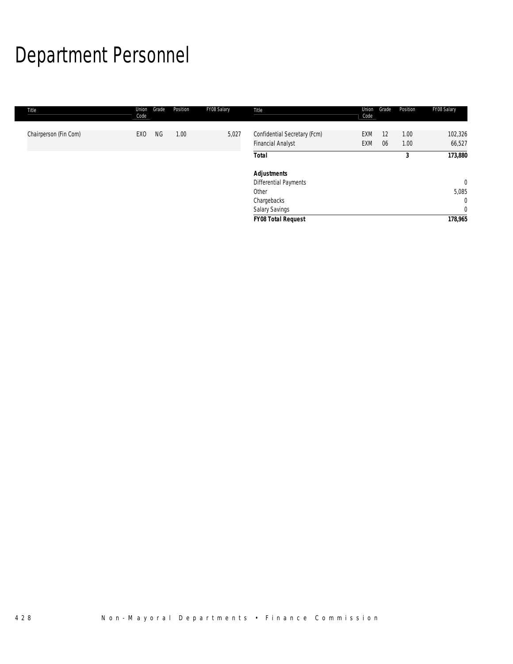# Department Personnel

| Title                 | Union<br>Code | Grade | Position | FY08 Salary | Title                                                    | Union<br>Code            | Grade    | Position     | FY08 Salary       |
|-----------------------|---------------|-------|----------|-------------|----------------------------------------------------------|--------------------------|----------|--------------|-------------------|
| Chairperson (Fin Com) | EXO           | NG    | 1.00     | 5,027       | Confidential Secretary (Fcm)<br><b>Financial Analyst</b> | <b>EXM</b><br><b>EXM</b> | 12<br>06 | 1.00<br>1.00 | 102,326<br>66,527 |
|                       |               |       |          |             | <b>Total</b>                                             |                          |          | 3            | 173,880           |
|                       |               |       |          |             | <b>Adjustments</b>                                       |                          |          |              |                   |
|                       |               |       |          |             | Differential Payments                                    |                          |          |              | $\mathbf{0}$      |
|                       |               |       |          |             | Other                                                    |                          |          |              | 5,085             |
|                       |               |       |          |             | Chargebacks                                              |                          |          |              | $\mathbf{0}$      |
|                       |               |       |          |             | Salary Savings                                           |                          |          |              | $\mathbf{0}$      |
|                       |               |       |          |             | <b>FY08 Total Request</b>                                |                          |          |              | 178,965           |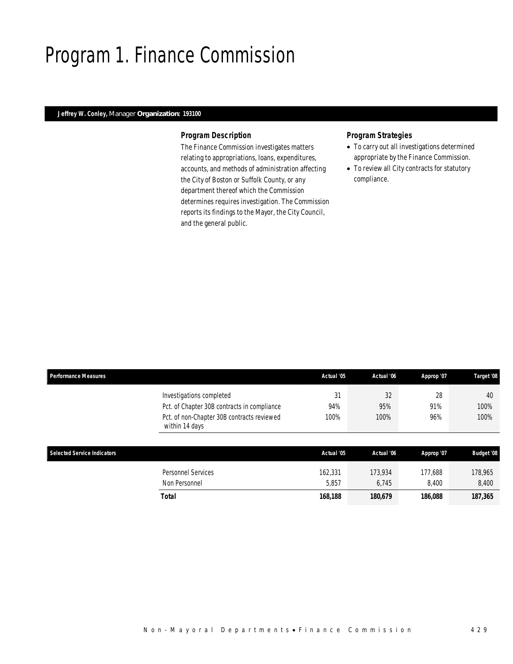## Program 1. Finance Commission

### *Jeffrey W. Conley, Manager Organization: 193100*

#### *Program Description*

The Finance Commission investigates matters relating to appropriations, loans, expenditures, accounts, and methods of administration affecting the City of Boston or Suffolk County, or any department thereof which the Commission determines requires investigation. The Commission reports its findings to the Mayor, the City Council, and the general public.

### *Program Strategies*

- To carry out all investigations determined appropriate by the Finance Commission.
- To review all City contracts for statutory compliance.

| <b>Performance Measures</b> |                                                              | Actual '05 | Actual '06 | Approp '07 | Target '08        |
|-----------------------------|--------------------------------------------------------------|------------|------------|------------|-------------------|
|                             | Investigations completed                                     | 31         | 32         | 28         | 40                |
|                             | Pct. of Chapter 30B contracts in compliance                  | 94%        | 95%        | 91%        | 100%              |
|                             | Pct. of non-Chapter 30B contracts reviewed<br>within 14 days | 100%       | 100%       | 96%        | 100%              |
| Selected Service Indicators |                                                              | Actual '05 | Actual '06 | Approp '07 | <b>Budget '08</b> |
|                             | <b>Personnel Services</b>                                    | 162,331    | 173.934    | 177.688    | 178,965           |
|                             | Non Personnel                                                | 5,857      | 6,745      | 8,400      | 8,400             |
|                             | Total                                                        | 168,188    | 180,679    | 186,088    | 187,365           |
|                             |                                                              |            |            |            |                   |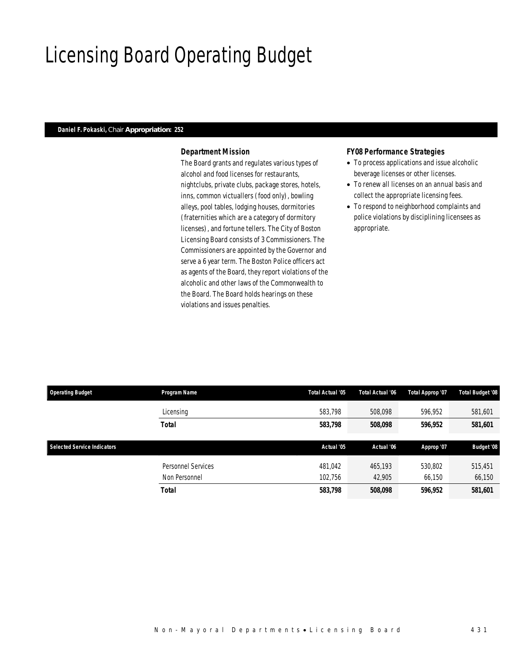## Licensing Board Operating Budget

### *Daniel F. Pokaski, Chair Appropriation: 252*

### *Department Mission*

The Board grants and regulates various types of alcohol and food licenses for restaurants, nightclubs, private clubs, package stores, hotels, inns, common victuallers (food only), bowling alleys, pool tables, lodging houses, dormitories (fraternities which are a category of dormitory licenses), and fortune tellers. The City of Boston Licensing Board consists of 3 Commissioners. The Commissioners are appointed by the Governor and serve a 6 year term. The Boston Police officers act as agents of the Board, they report violations of the alcoholic and other laws of the Commonwealth to the Board. The Board holds hearings on these violations and issues penalties.

#### *FY08 Performance Strategies*

- To process applications and issue alcoholic beverage licenses or other licenses.
- To renew all licenses on an annual basis and collect the appropriate licensing fees.
- To respond to neighborhood complaints and police violations by disciplining licensees as appropriate.

| <b>Operating Budget</b>            | Program Name       | Total Actual '05 | Total Actual '06 | Total Approp '07 | Total Budget '08  |  |
|------------------------------------|--------------------|------------------|------------------|------------------|-------------------|--|
|                                    | Licensing          | 583.798          | 508,098          | 596.952          | 581,601           |  |
|                                    | <b>Total</b>       | 583,798          | 508,098          | 596,952          | 581,601           |  |
| <b>Selected Service Indicators</b> |                    | Actual '05       | Actual '06       | Approp '07       | <b>Budget '08</b> |  |
|                                    | Personnel Services | 481,042          | 465,193          | 530,802          | 515,451           |  |
|                                    | Non Personnel      | 102.756          | 42.905           | 66,150           | 66,150            |  |
|                                    | <b>Total</b>       | 583,798          | 508,098          | 596,952          | 581,601           |  |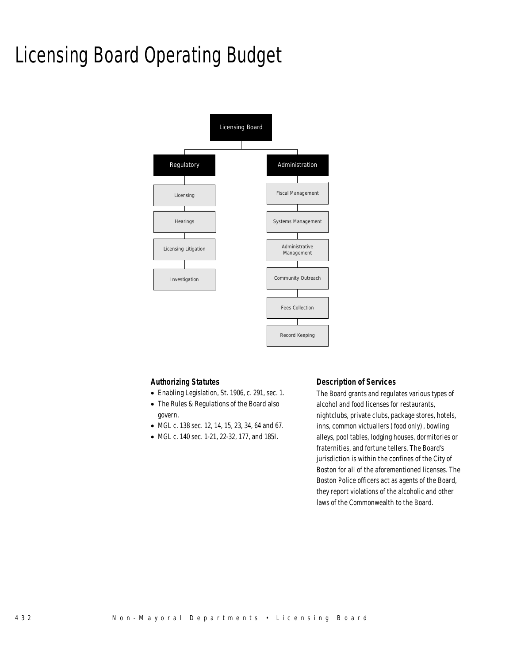# Licensing Board Operating Budget



#### *Authorizing Statutes*

- Enabling Legislation, St. 1906, c. 291, sec. 1.
- The Rules & Regulations of the Board also govern.
- MGL c. 138 sec. 12, 14, 15, 23, 34, 64 and 67.
- MGL c. 140 sec. 1-21, 22-32, 177, and 185I.

### *Description of Services*

The Board grants and regulates various types of alcohol and food licenses for restaurants, nightclubs, private clubs, package stores, hotels, inns, common victuallers (food only), bowling alleys, pool tables, lodging houses, dormitories or fraternities, and fortune tellers. The Board's jurisdiction is within the confines of the City of Boston for all of the aforementioned licenses. The Boston Police officers act as agents of the Board, they report violations of the alcoholic and other laws of the Commonwealth to the Board.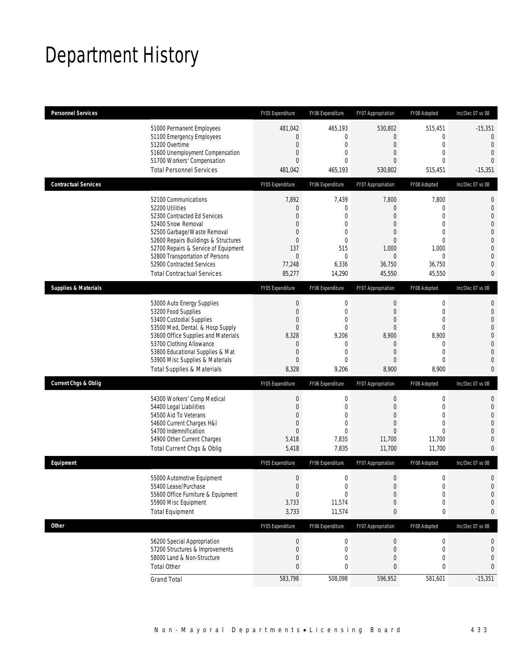## Department History

| <b>Personnel Services</b>       |                                                                                                                                                                                                                                                                                                                   | FY05 Expenditure                                                                                                               | FY06 Expenditure                                                                                                       | FY07 Appropriation                                                                                                                             | FY08 Adopted                                                                                                             | Inc/Dec 07 vs 08                                                                                                                                                 |
|---------------------------------|-------------------------------------------------------------------------------------------------------------------------------------------------------------------------------------------------------------------------------------------------------------------------------------------------------------------|--------------------------------------------------------------------------------------------------------------------------------|------------------------------------------------------------------------------------------------------------------------|------------------------------------------------------------------------------------------------------------------------------------------------|--------------------------------------------------------------------------------------------------------------------------|------------------------------------------------------------------------------------------------------------------------------------------------------------------|
|                                 | 51000 Permanent Employees<br>51100 Emergency Employees<br>51200 Overtime<br>51600 Unemployment Compensation<br>51700 Workers' Compensation<br><b>Total Personnel Services</b>                                                                                                                                     | 481,042<br>$\overline{0}$<br>$\mathbf{0}$<br>$\mathbf 0$<br>$\overline{0}$<br>481,042                                          | 465,193<br>$\mathbf{0}$<br>$\overline{0}$<br>0<br>$\Omega$<br>465,193                                                  | 530,802<br>0<br>$\boldsymbol{0}$<br>$\overline{0}$<br>$\Omega$<br>530,802                                                                      | 515,451<br>0<br>$\overline{0}$<br>$\overline{0}$<br>$\Omega$<br>515,451                                                  | $-15,351$<br>$\overline{0}$<br>$\mathbf{0}$<br>$\overline{0}$<br>$\Omega$<br>$-15,351$                                                                           |
| <b>Contractual Services</b>     |                                                                                                                                                                                                                                                                                                                   | FY05 Expenditure                                                                                                               | FY06 Expenditure                                                                                                       | FY07 Appropriation                                                                                                                             | FY08 Adopted                                                                                                             | Inc/Dec 07 vs 08                                                                                                                                                 |
|                                 | 52100 Communications<br>52200 Utilities<br>52300 Contracted Ed Services<br>52400 Snow Removal<br>52500 Garbage/Waste Removal<br>52600 Repairs Buildings & Structures<br>52700 Repairs & Service of Equipment<br>52800 Transportation of Persons<br>52900 Contracted Services<br><b>Total Contractual Services</b> | 7,892<br>$\theta$<br>$\overline{0}$<br>$\overline{0}$<br>$\mathbf{0}$<br>$\theta$<br>137<br>$\overline{0}$<br>77,248<br>85,277 | 7,439<br>0<br>$\overline{0}$<br>$\overline{0}$<br>$\theta$<br>$\mathbf{0}$<br>515<br>$\overline{0}$<br>6,336<br>14,290 | 7,800<br>$\overline{0}$<br>$\overline{0}$<br>$\overline{0}$<br>$\overline{0}$<br>$\overline{0}$<br>1,000<br>$\overline{0}$<br>36,750<br>45,550 | 7,800<br>$\mathbf 0$<br>$\overline{0}$<br>$\overline{0}$<br>0<br>$\overline{0}$<br>1,000<br>$\Omega$<br>36,750<br>45,550 | $\mathbf{0}$<br>$\mathbf 0$<br>$\overline{0}$<br>$\mathbf{0}$<br>$\mathbf 0$<br>$\mathbf{0}$<br>$\mathbf{0}$<br>$\overline{0}$<br>$\overline{0}$<br>$\mathbf{0}$ |
| <b>Supplies &amp; Materials</b> |                                                                                                                                                                                                                                                                                                                   | FY05 Expenditure                                                                                                               | FY06 Expenditure                                                                                                       | FY07 Appropriation                                                                                                                             | FY08 Adopted                                                                                                             | Inc/Dec 07 vs 08                                                                                                                                                 |
|                                 | 53000 Auto Energy Supplies<br>53200 Food Supplies<br>53400 Custodial Supplies<br>53500 Med, Dental, & Hosp Supply<br>53600 Office Supplies and Materials<br>53700 Clothing Allowance<br>53800 Educational Supplies & Mat<br>53900 Misc Supplies & Materials<br><b>Total Supplies &amp; Materials</b>              | $\mathbf 0$<br>$\theta$<br>$\mathbf{0}$<br>$\mathbf{0}$<br>8,328<br>$\theta$<br>$\overline{0}$<br>$\theta$<br>8,328            | 0<br>$\mathbf{0}$<br>$\overline{0}$<br>0<br>9,206<br>$\mathbf{0}$<br>$\overline{0}$<br>$\overline{0}$<br>9,206         | $\mathbf 0$<br>$\mathbf 0$<br>$\overline{0}$<br>$\overline{0}$<br>8,900<br>$\overline{0}$<br>$\overline{0}$<br>$\overline{0}$<br>8,900         | 0<br>$\mathbf 0$<br>$\overline{0}$<br>0<br>8,900<br>$\mathbf 0$<br>$\overline{0}$<br>$\overline{0}$<br>8,900             | $\mathbf{0}$<br>$\mathbf{0}$<br>$\mathbf{0}$<br>$\mathbf 0$<br>$\mathbf{0}$<br>$\overline{0}$<br>$\overline{0}$<br>$\mathbf{0}$<br>$\mathbf{0}$                  |
| <b>Current Chgs &amp; Oblig</b> |                                                                                                                                                                                                                                                                                                                   | FY05 Expenditure                                                                                                               | FY06 Expenditure                                                                                                       | FY07 Appropriation                                                                                                                             | FY08 Adopted                                                                                                             | Inc/Dec 07 vs 08                                                                                                                                                 |
|                                 | 54300 Workers' Comp Medical<br>54400 Legal Liabilities<br>54500 Aid To Veterans<br>54600 Current Charges H&I<br>54700 Indemnification<br>54900 Other Current Charges<br>Total Current Chgs & Oblig                                                                                                                | $\mathbf{0}$<br>$\mathbf{0}$<br>$\mathbf{0}$<br>$\mathbf{0}$<br>$\mathbf{0}$<br>5,418<br>5,418                                 | $\mathbf 0$<br>$\mathbf{0}$<br>$\overline{0}$<br>0<br>$\overline{0}$<br>7,835<br>7,835                                 | $\mathbf 0$<br>$\mathbf{0}$<br>$\overline{0}$<br>$\overline{0}$<br>$\overline{0}$<br>11,700<br>11,700                                          | $\mathbf 0$<br>$\overline{0}$<br>$\overline{0}$<br>0<br>$\overline{0}$<br>11,700<br>11,700                               | $\mathbf{0}$<br>$\overline{0}$<br>$\overline{0}$<br>$\mathbf 0$<br>$\overline{0}$<br>$\mathbf{0}$<br>$\mathbf{0}$                                                |
| Equipment                       |                                                                                                                                                                                                                                                                                                                   | FY05 Expenditure                                                                                                               | FY06 Expenditure                                                                                                       | FY07 Appropriation                                                                                                                             | FY08 Adopted                                                                                                             | Inc/Dec 07 vs 08                                                                                                                                                 |
|                                 | 55000 Automotive Equipment<br>55400 Lease/Purchase<br>55600 Office Furniture & Equipment<br>55900 Misc Equipment<br><b>Total Equipment</b>                                                                                                                                                                        | $\Omega$<br>$\boldsymbol{0}$<br>$\mathbf{0}$<br>3,733<br>3,733                                                                 | $\Omega$<br>$\mathbf 0$<br>$\theta$<br>11,574<br>11,574                                                                | $\Omega$<br>$\boldsymbol{0}$<br>$\overline{0}$<br>$\mathbf 0$<br>0                                                                             | $\Omega$<br>$\mathbf 0$<br>0<br>0<br>0                                                                                   | 0<br>$\mathbf{0}$<br>$\mathbf 0$<br>$\mathbf{0}$<br>0                                                                                                            |
| <b>Other</b>                    |                                                                                                                                                                                                                                                                                                                   | FY05 Expenditure                                                                                                               | FY06 Expenditure                                                                                                       | FY07 Appropriation                                                                                                                             | FY08 Adopted                                                                                                             | Inc/Dec 07 vs 08                                                                                                                                                 |
|                                 | 56200 Special Appropriation<br>57200 Structures & Improvements<br>58000 Land & Non-Structure<br><b>Total Other</b>                                                                                                                                                                                                | $\mathbf 0$<br>$\mathbf{0}$<br>$\theta$<br>$\mathbf{0}$                                                                        | $\boldsymbol{0}$<br>$\mathbf 0$<br>0<br>0                                                                              | 0<br>0<br>0<br>0                                                                                                                               | $\boldsymbol{0}$<br>0<br>0<br>0                                                                                          | 0<br>0<br>0<br>$\mathbf{0}$                                                                                                                                      |
|                                 | <b>Grand Total</b>                                                                                                                                                                                                                                                                                                | 583,798                                                                                                                        | 508,098                                                                                                                | 596,952                                                                                                                                        | 581,601                                                                                                                  | $-15,351$                                                                                                                                                        |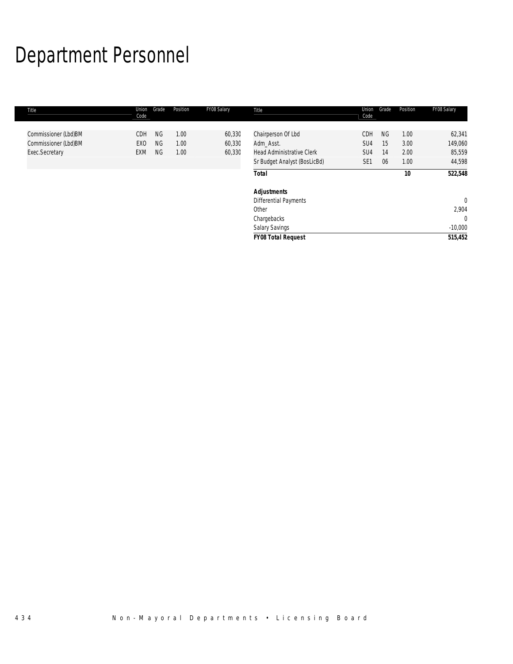# Department Personnel

| Title                | Union<br>Code | Grade     | Position | FY08 Salary | Title                            | Union<br>Code   | Grade     | Position | FY08 Salary    |
|----------------------|---------------|-----------|----------|-------------|----------------------------------|-----------------|-----------|----------|----------------|
| Commissioner (Lbd)BM | <b>CDH</b>    | <b>NG</b> | 1.00     | 60,330      | Chairperson Of Lbd               | CDH             | <b>NG</b> | 1.00     | 62,341         |
| Commissioner (Lbd)BM | EXO           | <b>NG</b> | 1.00     | 60,330      | Adm Asst.                        | SU <sub>4</sub> | 15        | 3.00     | 149,060        |
| Exec.Secretary       | <b>EXM</b>    | <b>NG</b> | 1.00     | 60,330      | <b>Head Administrative Clerk</b> | SU <sub>4</sub> | 14        | 2.00     | 85,559         |
|                      |               |           |          |             | Sr Budget Analyst (BosLicBd)     | SE <sub>1</sub> | 06        | 1.00     | 44,598         |
|                      |               |           |          |             | <b>Total</b>                     |                 |           | 10       | 522,548        |
|                      |               |           |          |             | <b>Adjustments</b>               |                 |           |          |                |
|                      |               |           |          |             | Differential Payments            |                 |           |          | $\overline{0}$ |
|                      |               |           |          |             | Other                            |                 |           |          | 2,904          |
|                      |               |           |          |             | Chargebacks                      |                 |           |          | $\Omega$       |
|                      |               |           |          |             | Salary Savings                   |                 |           |          | $-10,000$      |
|                      |               |           |          |             | <b>FY08 Total Request</b>        |                 |           |          | 515,452        |